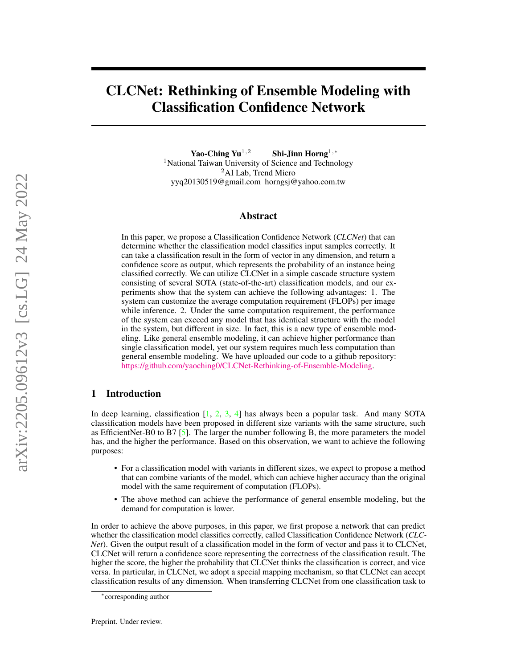# CLCNet: Rethinking of Ensemble Modeling with Classification Confidence Network

Yao-Ching Yu<sup>1,2</sup> Shi-Jinn Horng<sup>1,\*</sup> <sup>1</sup>National Taiwan University of Science and Technology <sup>2</sup>AI Lab, Trend Micro yyq20130519@gmail.com horngsj@yahoo.com.tw

#### Abstract

In this paper, we propose a Classification Confidence Network (*CLCNet*) that can determine whether the classification model classifies input samples correctly. It can take a classification result in the form of vector in any dimension, and return a confidence score as output, which represents the probability of an instance being classified correctly. We can utilize CLCNet in a simple cascade structure system consisting of several SOTA (state-of-the-art) classification models, and our experiments show that the system can achieve the following advantages: 1. The system can customize the average computation requirement (FLOPs) per image while inference. 2. Under the same computation requirement, the performance of the system can exceed any model that has identical structure with the model in the system, but different in size. In fact, this is a new type of ensemble modeling. Like general ensemble modeling, it can achieve higher performance than single classification model, yet our system requires much less computation than general ensemble modeling. We have uploaded our code to a github repository: [https://github.com/yaoching0/CLCNet-Rethinking-of-Ensemble-Modeling.](https://github.com/yaoching0/CLCNet-Rethinking-of-Ensemble-Modeling)

## 1 Introduction

In deep learning, classification  $[1, 2, 3, 4]$  $[1, 2, 3, 4]$  $[1, 2, 3, 4]$  $[1, 2, 3, 4]$  $[1, 2, 3, 4]$  $[1, 2, 3, 4]$  $[1, 2, 3, 4]$  has always been a popular task. And many SOTA classification models have been proposed in different size variants with the same structure, such as EfficientNet-B0 to B7  $[5]$ . The larger the number following B, the more parameters the model has, and the higher the performance. Based on this observation, we want to achieve the following purposes:

- For a classification model with variants in different sizes, we expect to propose a method that can combine variants of the model, which can achieve higher accuracy than the original model with the same requirement of computation (FLOPs).
- The above method can achieve the performance of general ensemble modeling, but the demand for computation is lower.

In order to achieve the above purposes, in this paper, we first propose a network that can predict whether the classification model classifies correctly, called Classification Confidence Network (*CLC-Net*). Given the output result of a classification model in the form of vector and pass it to CLCNet, CLCNet will return a confidence score representing the correctness of the classification result. The higher the score, the higher the probability that CLCNet thinks the classification is correct, and vice versa. In particular, in CLCNet, we adopt a special mapping mechanism, so that CLCNet can accept classification results of any dimension. When transferring CLCNet from one classification task to

<sup>∗</sup> corresponding author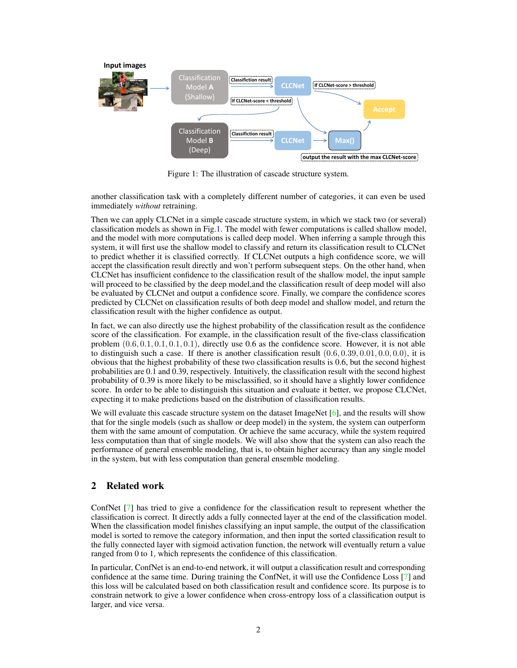<span id="page-1-0"></span>

Figure 1: The illustration of cascade structure system.

another classification task with a completely different number of categories, it can even be used immediately *without* retraining.

Then we can apply CLCNet in a simple cascade structure system, in which we stack two (or several) classification models as shown in Fig[.1.](#page-1-0) The model with fewer computations is called shallow model, and the model with more computations is called deep model. When inferring a sample through this system, it will first use the shallow model to classify and return its classification result to CLCNet to predict whether it is classified correctly. If CLCNet outputs a high confidence score, we will accept the classification result directly and won't perform subsequent steps. On the other hand, when CLCNet has insufficient confidence to the classification result of the shallow model, the input sample will proceed to be classified by the deep model,and the classification result of deep model will also be evaluated by CLCNet and output a confidence score. Finally, we compare the confidence scores predicted by CLCNet on classification results of both deep model and shallow model, and return the classification result with the higher confidence as output.

In fact, we can also directly use the highest probability of the classification result as the confidence score of the classification. For example, in the classification result of the five-class classification problem  $(0.6, 0.1, 0.1, 0.1, 0.1)$ , directly use 0.6 as the confidence score. However, it is not able to distinguish such a case. If there is another classification result  $(0.6, 0.39, 0.01, 0.0, 0.0)$ , it is obvious that the highest probability of these two classification results is 0.6, but the second highest probabilities are 0.1 and 0.39, respectively. Intuitively, the classification result with the second highest probability of 0.39 is more likely to be misclassified, so it should have a slightly lower confidence score. In order to be able to distinguish this situation and evaluate it better, we propose CLCNet, expecting it to make predictions based on the distribution of classification results.

We will evaluate this cascade structure system on the dataset ImageNet [\[6\]](#page-8-5), and the results will show that for the single models (such as shallow or deep model) in the system, the system can outperform them with the same amount of computation. Or achieve the same accuracy, while the system required less computation than that of single models. We will also show that the system can also reach the performance of general ensemble modeling, that is, to obtain higher accuracy than any single model in the system, but with less computation than general ensemble modeling.

# 2 Related work

ConfNet [\[7\]](#page-8-6) has tried to give a confidence for the classification result to represent whether the classification is correct. It directly adds a fully connected layer at the end of the classification model. When the classification model finishes classifying an input sample, the output of the classification model is sorted to remove the category information, and then input the sorted classification result to the fully connected layer with sigmoid activation function, the network will eventually return a value ranged from 0 to 1, which represents the confidence of this classification.

In particular, ConfNet is an end-to-end network, it will output a classification result and corresponding confidence at the same time. During training the ConfNet, it will use the Confidence Loss [\[7\]](#page-8-6) and this loss will be calculated based on both classification result and confidence score. Its purpose is to constrain network to give a lower confidence when cross-entropy loss of a classification output is larger, and vice versa.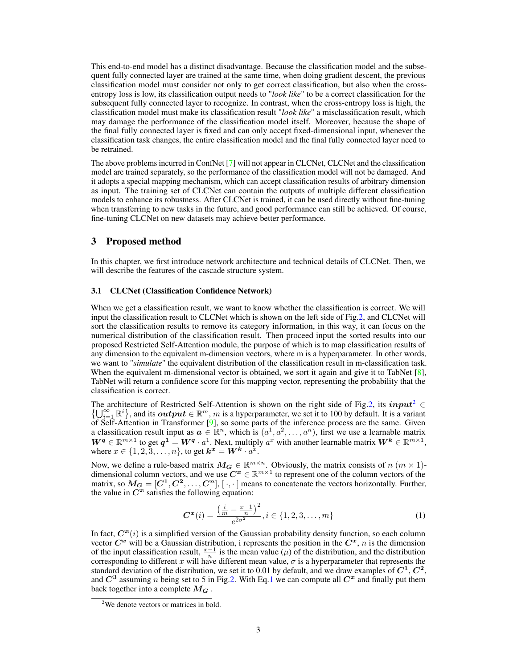This end-to-end model has a distinct disadvantage. Because the classification model and the subsequent fully connected layer are trained at the same time, when doing gradient descent, the previous classification model must consider not only to get correct classification, but also when the crossentropy loss is low, its classification output needs to "*look like*" to be a correct classification for the subsequent fully connected layer to recognize. In contrast, when the cross-entropy loss is high, the classification model must make its classification result "*look like*" a misclassification result, which may damage the performance of the classification model itself. Moreover, because the shape of the final fully connected layer is fixed and can only accept fixed-dimensional input, whenever the classification task changes, the entire classification model and the final fully connected layer need to be retrained.

The above problems incurred in ConfNet [\[7\]](#page-8-6) will not appear in CLCNet, CLCNet and the classification model are trained separately, so the performance of the classification model will not be damaged. And it adopts a special mapping mechanism, which can accept classification results of arbitrary dimension as input. The training set of CLCNet can contain the outputs of multiple different classification models to enhance its robustness. After CLCNet is trained, it can be used directly without fine-tuning when transferring to new tasks in the future, and good performance can still be achieved. Of course, fine-tuning CLCNet on new datasets may achieve better performance.

## 3 Proposed method

In this chapter, we first introduce network architecture and technical details of CLCNet. Then, we will describe the features of the cascade structure system.

#### 3.1 CLCNet (Classification Confidence Network)

When we get a classification result, we want to know whether the classification is correct. We will input the classification result to CLCNet which is shown on the left side of Fig[.2,](#page-3-0) and CLCNet will sort the classification results to remove its category information, in this way, it can focus on the numerical distribution of the classification result. Then proceed input the sorted results into our proposed Restricted Self-Attention module, the purpose of which is to map classification results of any dimension to the equivalent m-dimension vectors, where m is a hyperparameter. In other words, we want to "*simulate*" the equivalent distribution of the classification result in m-classification task. When the equivalent m-dimensional vector is obtained, we sort it again and give it to TabNet  $[8]$ , TabNet will return a confidence score for this mapping vector, representing the probability that the classification is correct.

The architecture of Restricted Self-Attention is shown on the right side of Fig[.2,](#page-3-0) its  $input^2 \in \{1, 2^{\infty}, m_i\}$  $input^2 \in \{1, 2^{\infty}, m_i\}$  $input^2 \in \{1, 2^{\infty}, m_i\}$  and its extent  $\in \mathbb{R}^m$ , m is a hyperperparter, we set it to 100 by default. It is a variant  $\{\bigcup_{i=1}^{\infty} \mathbb{R}^i\}$ , and its  $output \in \mathbb{R}^m$ , m is a hyperparameter, we set it to 100 by default. It is a variant of Self-Attention in Transformer [\[9\]](#page-8-8), so some parts of the inference process are the same. Given a classification result input as  $\boldsymbol{a} \in \mathbb{R}^n$ , which is  $(a^1, a^2, \dots, a^n)$ , first we use a learnable matrix  $W^q \in \mathbb{R}^{m \times 1}$  to get  $q^1 = W^q \cdot a^1$ . Next, multiply  $a^x$  with another learnable matrix  $W^k \in \mathbb{R}^{m \times 1}$ , where  $x \in \{1, 2, 3, \ldots, n\}$ , to get  $\mathbf{k}^{\boldsymbol{x}} = \mathbf{W}^{\boldsymbol{k}} \cdot a^{\hat{x}}$ .

Now, we define a rule-based matrix  $M_G \in \mathbb{R}^{m \times n}$ . Obviously, the matrix consists of  $n \ (m \times 1)$ dimensional column vectors, and we use  $C^x \in \mathbb{R}^{m \times 1}$  to represent one of the column vectors of the matrix, so  $M_G = [C^1, C^2, \dots, C^n]$ ,  $[\cdot, \cdot]$  means to concatenate the vectors horizontally. Further, the value in  $C^x$  satisfies the following equation:

<span id="page-2-1"></span>
$$
\boldsymbol{C}^{\boldsymbol{x}}(i) = \frac{\left(\frac{i}{m} - \frac{x-1}{n}\right)^2}{e^{2\sigma^2}}, i \in \{1, 2, 3, \dots, m\}
$$
 (1)

In fact,  $C^x(i)$  is a simplified version of the Gaussian probability density function, so each column vector  $C^x$  will be a Gaussian distribution, i represents the position in the  $C^x$ , n is the dimension of the input classification result,  $\frac{x-1}{n}$  is the mean value ( $\mu$ ) of the distribution, and the distribution corresponding to different x will have different mean value,  $\sigma$  is a hyperparameter that represents the standard deviation of the distribution, we set it to 0.01 by default, and we draw examples of  $C^1$ ,  $C^2$ , and  $C^3$  assuming n being set to 5 in Fig[.2.](#page-3-0) With Eq[.1](#page-2-1) we can compute all  $C^x$  and finally put them back together into a complete  $M_G$ .

<span id="page-2-0"></span> $2$ We denote vectors or matrices in bold.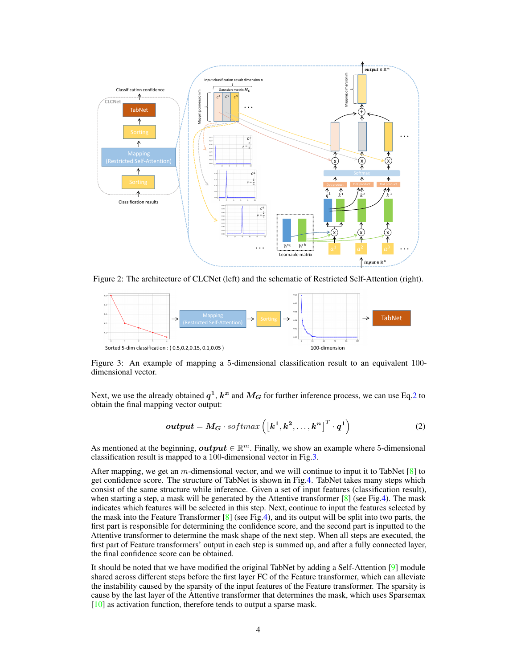<span id="page-3-0"></span>

Figure 2: The architecture of CLCNet (left) and the schematic of Restricted Self-Attention (right).

<span id="page-3-2"></span>

Figure 3: An example of mapping a 5-dimensional classification result to an equivalent 100 dimensional vector.

Next, we use the already obtained  $q^1, k^x$  and  $M_G$  for further inference process, we can use Eq[.2](#page-3-1) to obtain the final mapping vector output:

<span id="page-3-1"></span>
$$
output = M_G \cdot softmax\left(\left[k^1, k^2, \dots, k^n\right]^T \cdot q^1\right) \tag{2}
$$

As mentioned at the beginning,  $output \in \mathbb{R}^m$ . Finally, we show an example where 5-dimensional classification result is mapped to a 100-dimensional vector in Fig[.3.](#page-3-2)

After mapping, we get an m-dimensional vector, and we will continue to input it to TabNet  $[8]$  to get confidence score. The structure of TabNet is shown in Fig[.4.](#page-4-0) TabNet takes many steps which consist of the same structure while inference. Given a set of input features (classification result), when starting a step, a mask will be generated by the Attentive transformer  $\lceil 8 \rceil$  (see Fig[.4\)](#page-4-0). The mask indicates which features will be selected in this step. Next, continue to input the features selected by the mask into the Feature Transformer  $[8]$  (see Fig[.4\)](#page-4-0), and its output will be split into two parts, the first part is responsible for determining the confidence score, and the second part is inputted to the Attentive transformer to determine the mask shape of the next step. When all steps are executed, the first part of Feature transformers' output in each step is summed up, and after a fully connected layer, the final confidence score can be obtained.

It should be noted that we have modified the original TabNet by adding a Self-Attention [\[9\]](#page-8-8) module shared across different steps before the first layer FC of the Feature transformer, which can alleviate the instability caused by the sparsity of the input features of the Feature transformer. The sparsity is cause by the last layer of the Attentive transformer that determines the mask, which uses Sparsemax [\[10\]](#page-8-9) as activation function, therefore tends to output a sparse mask.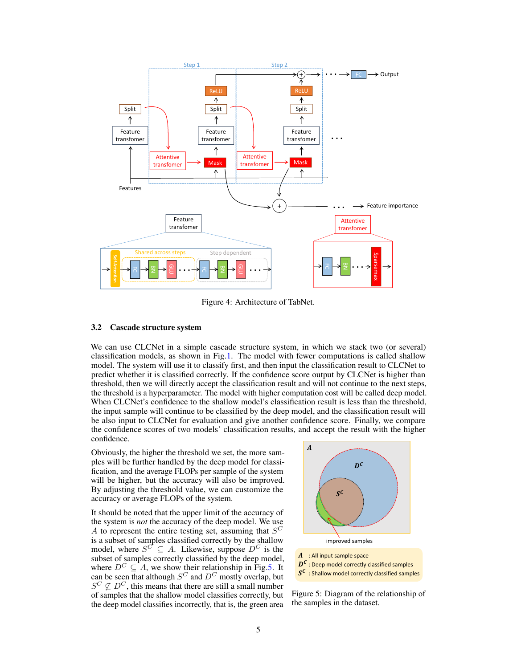<span id="page-4-0"></span>

Figure 4: Architecture of TabNet.

#### 3.2 Cascade structure system

We can use CLCNet in a simple cascade structure system, in which we stack two (or several) classification models, as shown in Fig[.1.](#page-1-0) The model with fewer computations is called shallow model. The system will use it to classify first, and then input the classification result to CLCNet to predict whether it is classified correctly. If the confidence score output by CLCNet is higher than threshold, then we will directly accept the classification result and will not continue to the next steps, the threshold is a hyperparameter. The model with higher computation cost will be called deep model. When CLCNet's confidence to the shallow model's classification result is less than the threshold, the input sample will continue to be classified by the deep model, and the classification result will be also input to CLCNet for evaluation and give another confidence score. Finally, we compare the confidence scores of two models' classification results, and accept the result with the higher confidence.

Obviously, the higher the threshold we set, the more samples will be further handled by the deep model for classification, and the average FLOPs per sample of the system will be higher, but the accuracy will also be improved. By adjusting the threshold value, we can customize the accuracy or average FLOPs of the system.

It should be noted that the upper limit of the accuracy of the system is *not* the accuracy of the deep model. We use A to represent the entire testing set, assuming that  $S^C$ is a subset of samples classified correctly by the shallow model, where  $S^C \subseteq A$ . Likewise, suppose  $D^C$  is the subset of samples correctly classified by the deep model, where  $D^C \subseteq A$ , we show their relationship in Fig[.5.](#page-4-1) It can be seen that although  $S^C$  and  $D^C$  mostly overlap, but  $S^C \nsubseteq D^C$ , this means that there are still a small number of samples that the shallow model classifies correctly, but the deep model classifies incorrectly, that is, the green area

<span id="page-4-1"></span>

Figure 5: Diagram of the relationship of the samples in the dataset.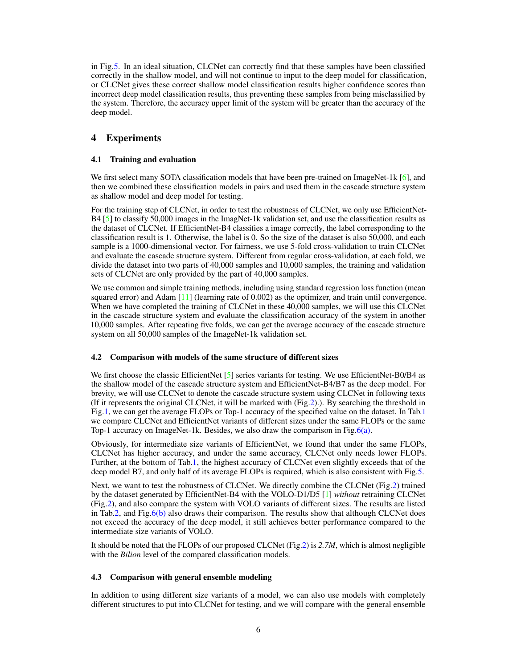in Fig[.5.](#page-4-1) In an ideal situation, CLCNet can correctly find that these samples have been classified correctly in the shallow model, and will not continue to input to the deep model for classification, or CLCNet gives these correct shallow model classification results higher confidence scores than incorrect deep model classification results, thus preventing these samples from being misclassified by the system. Therefore, the accuracy upper limit of the system will be greater than the accuracy of the deep model.

# 4 Experiments

## 4.1 Training and evaluation

We first select many SOTA classification models that have been pre-trained on ImageNet-1k [\[6\]](#page-8-5), and then we combined these classification models in pairs and used them in the cascade structure system as shallow model and deep model for testing.

For the training step of CLCNet, in order to test the robustness of CLCNet, we only use EfficientNet-B4 [\[5\]](#page-8-4) to classify 50,000 images in the ImagNet-1k validation set, and use the classification results as the dataset of CLCNet. If EfficientNet-B4 classifies a image correctly, the label corresponding to the classification result is 1. Otherwise, the label is 0. So the size of the dataset is also 50,000, and each sample is a 1000-dimensional vector. For fairness, we use 5-fold cross-validation to train CLCNet and evaluate the cascade structure system. Different from regular cross-validation, at each fold, we divide the dataset into two parts of 40,000 samples and 10,000 samples, the training and validation sets of CLCNet are only provided by the part of 40,000 samples.

We use common and simple training methods, including using standard regression loss function (mean squared error) and Adam [\[11\]](#page-8-10) (learning rate of 0.002) as the optimizer, and train until convergence. When we have completed the training of CLCNet in these 40,000 samples, we will use this CLCNet in the cascade structure system and evaluate the classification accuracy of the system in another 10,000 samples. After repeating five folds, we can get the average accuracy of the cascade structure system on all 50,000 samples of the ImageNet-1k validation set.

### 4.2 Comparison with models of the same structure of different sizes

We first choose the classic EfficientNet [\[5\]](#page-8-4) series variants for testing. We use EfficientNet-B0/B4 as the shallow model of the cascade structure system and EfficientNet-B4/B7 as the deep model. For brevity, we will use CLCNet to denote the cascade structure system using CLCNet in following texts (If it represents the original CLCNet, it will be marked with (Fig[.2\)](#page-3-0).). By searching the threshold in Fig[.1,](#page-1-0) we can get the average FLOPs or Top-1 accuracy of the specified value on the dataset. In Tab[.1](#page-6-0) we compare CLCNet and EfficientNet variants of different sizes under the same FLOPs or the same Top-1 accuracy on ImageNet-1k. Besides, we also draw the comparison in Fig[.6\(a\).](#page-7-0)

Obviously, for intermediate size variants of EfficientNet, we found that under the same FLOPs, CLCNet has higher accuracy, and under the same accuracy, CLCNet only needs lower FLOPs. Further, at the bottom of Tab[.1,](#page-6-0) the highest accuracy of CLCNet even slightly exceeds that of the deep model B7, and only half of its average FLOPs is required, which is also consistent with Fig[.5.](#page-4-1)

Next, we want to test the robustness of CLCNet. We directly combine the CLCNet (Fig[.2\)](#page-3-0) trained by the dataset generated by EfficientNet-B4 with the VOLO-D1/D5 [\[1\]](#page-8-0) *without* retraining CLCNet (Fig[.2\)](#page-3-0), and also compare the system with VOLO variants of different sizes. The results are listed in Tab[.2,](#page-6-1) and Fig. $6(b)$  also draws their comparison. The results show that although CLCNet does not exceed the accuracy of the deep model, it still achieves better performance compared to the intermediate size variants of VOLO.

It should be noted that the FLOPs of our proposed CLCNet (Fig[.2\)](#page-3-0) is *2.7M*, which is almost negligible with the *Bilion* level of the compared classification models.

### 4.3 Comparison with general ensemble modeling

In addition to using different size variants of a model, we can also use models with completely different structures to put into CLCNet for testing, and we will compare with the general ensemble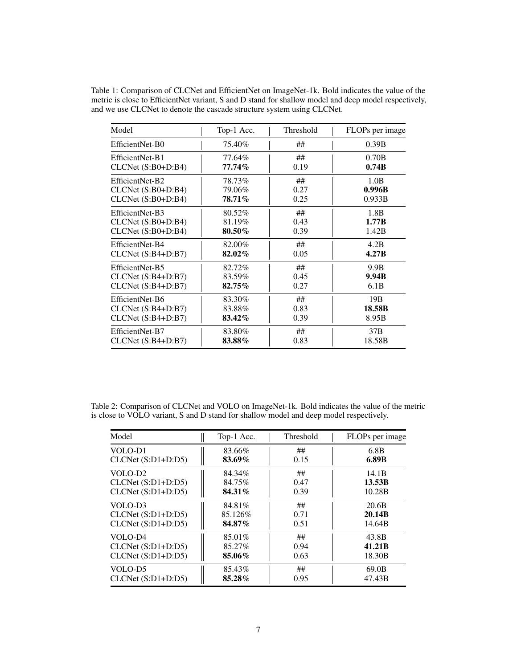| Model               | Top-1 Acc. | Threshold | FLOPs per image |
|---------------------|------------|-----------|-----------------|
| EfficientNet-B0     | 75.40%     | ##        | 0.39B           |
| EfficientNet-B1     | 77.64%     | ##        | 0.70B           |
| $CLCNet(S:B0+D:B4)$ | $77.74\%$  | 0.19      | 0.74B           |
| EfficientNet-B2     | 78.73%     | ##        | 1.0B            |
| $CLCNet(S:B0+D:B4)$ | 79.06%     | 0.27      | 0.996B          |
| $CLCNet(S:B0+D:B4)$ | 78.71%     | 0.25      | 0.933B          |
| EfficientNet-B3     | 80.52%     | ##        | 1.8B            |
| $CLCNet(S:B0+D:B4)$ | 81.19%     | 0.43      | 1.77B           |
| $CLCNet(S:B0+D:B4)$ | 80.50%     | 0.39      | 1.42B           |
| EfficientNet-B4     | 82.00%     | ##        | 4.2B            |
| $CLCNet(S:B4+D:B7)$ | 82.02%     | 0.05      | 4.27B           |
| EfficientNet-B5     | 82.72%     | ##        | 9.9B            |
| CLCNet (S:B4+D:B7)  | 83.59%     | 0.45      | 9.94B           |
| $CLCNet(S:B4+D:B7)$ | $82.75\%$  | 0.27      | 6.1B            |
| EfficientNet-B6     | 83.30%     | ##        | 19B             |
| $CLCNet(S:B4+D:B7)$ | 83.88%     | 0.83      | 18.58B          |
| $CLCNet(S:B4+D:B7)$ | 83.42%     | 0.39      | 8.95B           |
| EfficientNet-B7     | 83.80%     | ##        | 37B             |
| $CLCNet(S:B4+D:B7)$ | 83.88%     | 0.83      | 18.58B          |

<span id="page-6-0"></span>Table 1: Comparison of CLCNet and EfficientNet on ImageNet-1k. Bold indicates the value of the metric is close to EfficientNet variant, S and D stand for shallow model and deep model respectively, and we use CLCNet to denote the cascade structure system using CLCNet.

<span id="page-6-1"></span>Table 2: Comparison of CLCNet and VOLO on ImageNet-1k. Bold indicates the value of the metric is close to VOLO variant, S and D stand for shallow model and deep model respectively.

| Model               | Top-1 Acc. | Threshold | FLOPs per image    |
|---------------------|------------|-----------|--------------------|
| VOLO-D1             | 83.66%     | ##        | 6.8 <sub>B</sub>   |
| $CLCNet(S:D1+D:D5)$ | 83.69%     | 0.15      | 6.89B              |
| VOLO-D <sub>2</sub> | 84.34%     | ##        | 14.1B              |
| $CLCNet(S:D1+D:D5)$ | 84.75%     | 0.47      | 13.53B             |
| $CLCNet(S:D1+D:D5)$ | 84.31%     | 0.39      | 10.28B             |
| VOLO-D <sub>3</sub> | 84.81%     | ##        | 20.6B              |
| $CLCNet(S:D1+D:D5)$ | 85.126\%   | 0.71      | 20.14B             |
| $CLCNet(S:D1+D:D5)$ | 84.87%     | 0.51      | 14.64B             |
| VOLO-D4             | 85.01%     | ##        | 43.8B              |
| $CLCNet(S:D1+D:D5)$ | 85.27%     | 0.94      | 41.21 <sub>B</sub> |
| $CLCNet(S:D1+D:D5)$ | 85.06%     | 0.63      | 18.30B             |
| VOLO-D5             | 85.43%     | ##        | 69.0B              |
| $CLCNet(S:D1+D:D5)$ | 85.28%     | 0.95      | 47.43B             |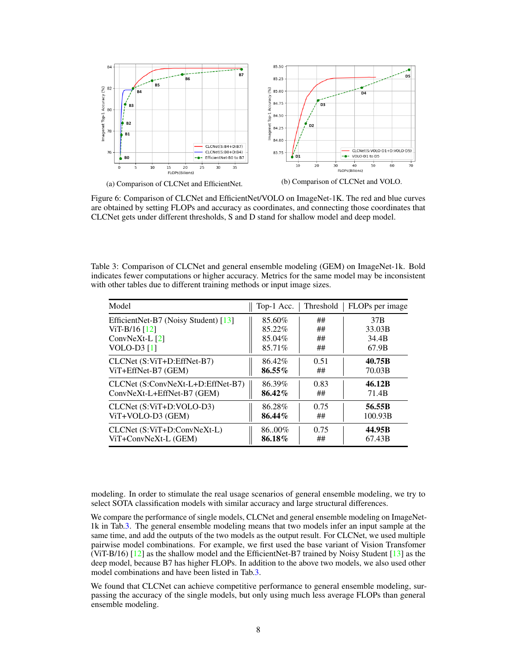<span id="page-7-0"></span>

Figure 6: Comparison of CLCNet and EfficientNet/VOLO on ImageNet-1K. The red and blue curves are obtained by setting FLOPs and accuracy as coordinates, and connecting those coordinates that CLCNet gets under different thresholds, S and D stand for shallow model and deep model.

<span id="page-7-1"></span>Table 3: Comparison of CLCNet and general ensemble modeling (GEM) on ImageNet-1k. Bold indicates fewer computations or higher accuracy. Metrics for the same model may be inconsistent with other tables due to different training methods or input image sizes.

| Model                                | Top-1 Acc. | Threshold | FLOPs per image |
|--------------------------------------|------------|-----------|-----------------|
| EfficientNet-B7 (Noisy Student) [13] | 85.60%     | ##        | 37 <sub>B</sub> |
| ViT-B/16 $[12]$                      | 85.22%     | ##        | 33.03B          |
| ConvNeXt-L $[2]$                     | 85.04%     | ##        | 34.4B           |
| VOLO-D3 $[1]$                        | 85.71%     | ##        | 67.9B           |
| CLCNet (S:ViT+D:EffNet-B7)           | 86.42%     | 0.51      | 40.75B          |
| ViT+EffNet-B7 (GEM)                  | 86.55%     | ##        | 70.03B          |
| CLCNet (S:ConvNeXt-L+D:EffNet-B7)    | 86.39%     | 0.83      | 46.12B          |
| ConvNeXt-L+EffNet-B7 (GEM)           | 86.42%     | ##        | 71.4B           |
| CLCNet (S:ViT+D:VOLO-D3)             | 86.28%     | 0.75      | 56.55B          |
| ViT+VOLO-D3 (GEM)                    | 86.44%     | ##        | 100.93B         |
| CLCNet (S:ViT+D:ConvNeXt-L)          | 86.00%     | 0.75      | 44.95B          |
| ViT+ConvNeXt-L (GEM)                 | 86.18%     | ##        | 67.43B          |

modeling. In order to stimulate the real usage scenarios of general ensemble modeling, we try to select SOTA classification models with similar accuracy and large structural differences.

We compare the performance of single models, CLCNet and general ensemble modeling on ImageNet-1k in Tab[.3.](#page-7-1) The general ensemble modeling means that two models infer an input sample at the same time, and add the outputs of the two models as the output result. For CLCNet, we used multiple pairwise model combinations. For example, we first used the base variant of Vision Transfomer (ViT-B/16) [\[12\]](#page-8-12) as the shallow model and the EfficientNet-B7 trained by Noisy Student [\[13\]](#page-8-11) as the deep model, because B7 has higher FLOPs. In addition to the above two models, we also used other model combinations and have been listed in Tab[.3.](#page-7-1)

We found that CLCNet can achieve competitive performance to general ensemble modeling, surpassing the accuracy of the single models, but only using much less average FLOPs than general ensemble modeling.